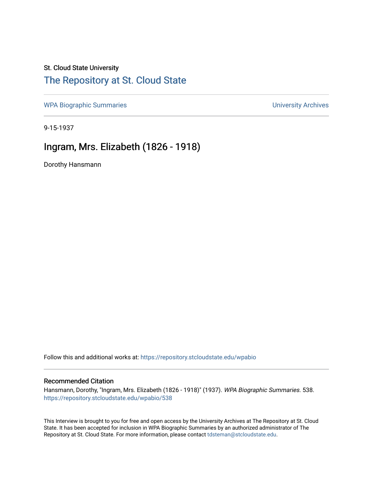## St. Cloud State University [The Repository at St. Cloud State](https://repository.stcloudstate.edu/)

[WPA Biographic Summaries](https://repository.stcloudstate.edu/wpabio) **WPA Biographic Summaries University Archives** 

9-15-1937

## Ingram, Mrs. Elizabeth (1826 - 1918)

Dorothy Hansmann

Follow this and additional works at: [https://repository.stcloudstate.edu/wpabio](https://repository.stcloudstate.edu/wpabio?utm_source=repository.stcloudstate.edu%2Fwpabio%2F538&utm_medium=PDF&utm_campaign=PDFCoverPages) 

### Recommended Citation

Hansmann, Dorothy, "Ingram, Mrs. Elizabeth (1826 - 1918)" (1937). WPA Biographic Summaries. 538. [https://repository.stcloudstate.edu/wpabio/538](https://repository.stcloudstate.edu/wpabio/538?utm_source=repository.stcloudstate.edu%2Fwpabio%2F538&utm_medium=PDF&utm_campaign=PDFCoverPages) 

This Interview is brought to you for free and open access by the University Archives at The Repository at St. Cloud State. It has been accepted for inclusion in WPA Biographic Summaries by an authorized administrator of The Repository at St. Cloud State. For more information, please contact [tdsteman@stcloudstate.edu.](mailto:tdsteman@stcloudstate.edu)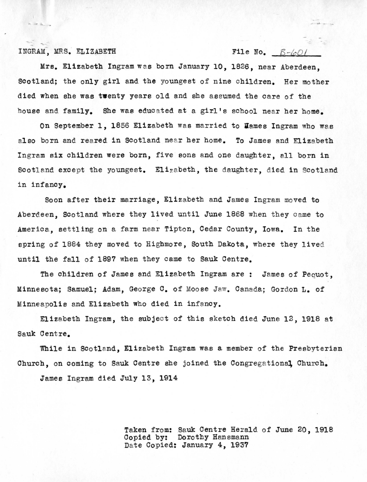### INGRAM, MRS. ELIZABETH File No.  $B-\omega_0$

Mrs. Elizabeth Ingram was born January 10, 1826, near Aberdeen, Scotland; the only girl and the youngest of nine children. Her mother died when she was **twenty** years old and she assumed the care of the house and family. She was educated at a girl's school near her home.

On September 1, 1856 Elizabeth was married to Mames Ingram who was also born and reared in Scotland near her home. To James and Elizabeth Ingram six children were born, five sons and one daughter, all born in Scotland except the youngest. Elizabeth, the daughter, died in Scotland in infancy.

Soon after their marriage, Elizabeth and James Ingram moved to Aberdeen, Scotland where they lived until June 1868 when they came to America, settling on a farm near Tipton, Cedar County, Iowa. In the spring of 1884 they moved to Highmore, South Dakota, where they lived until the fall of 1897 when they came to Sauk Centre.

The children of James and Elizabeth Ingram are: James of Pequot, Minnesota: Samuel: Adam, George C. of Moose Jaw. Canada: Gordon L. of Minneapolis and Elizabeth who died in infancy.

Elizabeth Ingram, the subject of this sketch died June  $12$ , 1918 at Sauk Centre.

While in Scotland, Elizabeth Ingram was a member of the Presbyterian Church, on coming to Sauk Centre she joined the Congregational, Church.

James Ingram died July 13, **1914** 

Taken from: Sauk Centre Herald of June 20, 1918<br>Copied by: Dorothy Hansmann Dorothy Hansmann Date Copied: January 4, 1937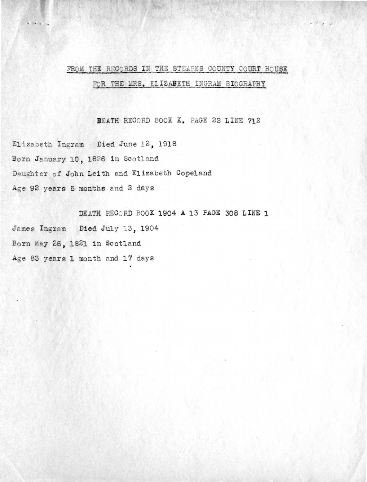# FROM THE RECORDS IN THE STEARNS COUNTY COURT HOUSE FOR THE MRS. ELIZABETH INGRAM BIOGRAPHY

DEATH RECORD BOOK K. PAGE 22 LINE 712

Elizabeth Ingram Died June 12, 1918 Born January 10, 1826 in Scotland Daughter of John Leith and Elizabeth Copeland Age 92 years 5 months and 2 days

DEATH RECORD BOOK 1904 A 13 PAGE 308 LINE 1 James Ingram Died July 13, 1904 Born May 26, 1821 in Scotland Age 83 years 1 month and 17 days